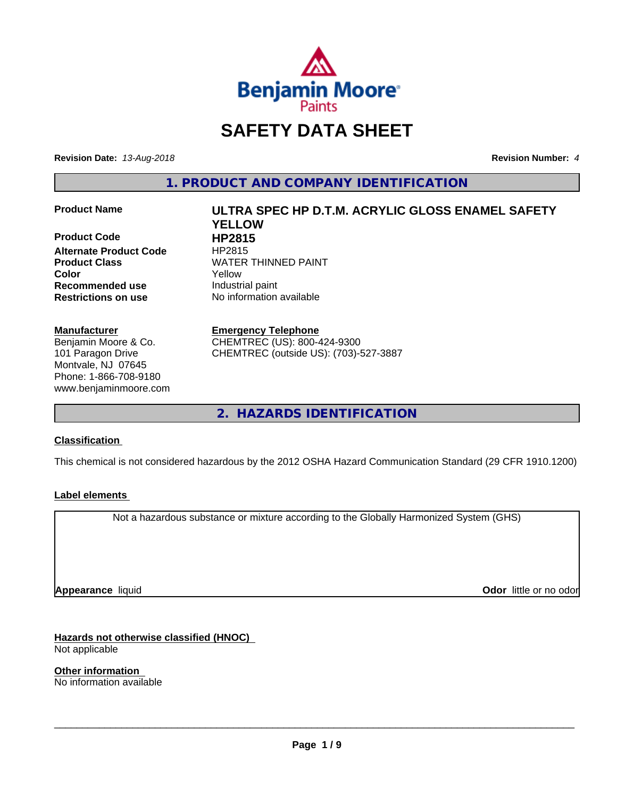

# **SAFETY DATA SHEET**

**Revision Date:** *13-Aug-2018* **Revision Number:** *4*

**1. PRODUCT AND COMPANY IDENTIFICATION**

**Product Code 
<br>
Alternate Product Code** 
HP2815 **Alternate Product Code Recommended use** Industrial paint **Restrictions on use** No information available

#### **Manufacturer**

Benjamin Moore & Co. 101 Paragon Drive Montvale, NJ 07645 Phone: 1-866-708-9180 www.benjaminmoore.com

# **Product Name ULTRA SPEC HP D.T.M. ACRYLIC GLOSS ENAMEL SAFETY YELLOW Product Class WATER THINNED PAINT Color** Yellow

**Emergency Telephone** CHEMTREC (US): 800-424-9300 CHEMTREC (outside US): (703)-527-3887

**2. HAZARDS IDENTIFICATION**

#### **Classification**

This chemical is not considered hazardous by the 2012 OSHA Hazard Communication Standard (29 CFR 1910.1200)

#### **Label elements**

Not a hazardous substance or mixture according to the Globally Harmonized System (GHS)

**Appearance** liquid

**Odor** little or no odor

**Hazards not otherwise classified (HNOC)** Not applicable

**Other information** No information available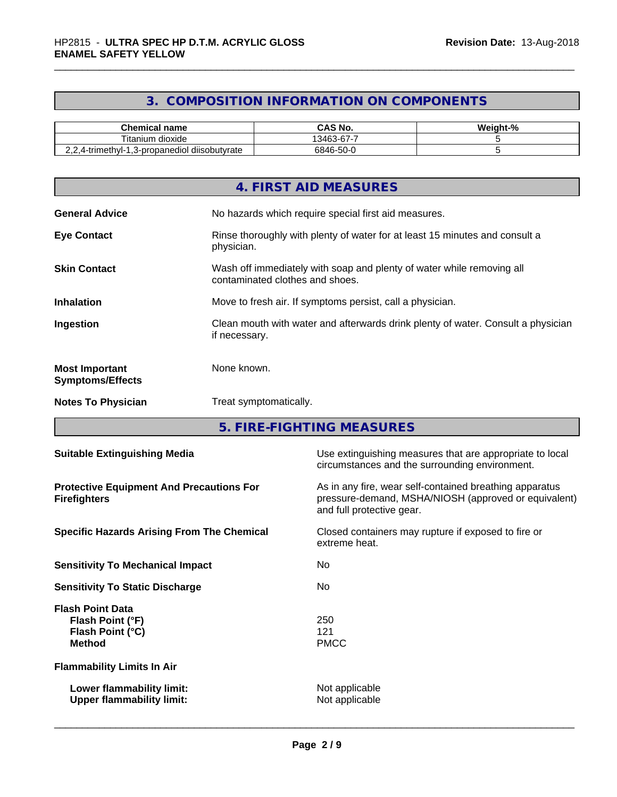# **3. COMPOSITION INFORMATION ON COMPONENTS**

| <b>Chemical name</b>                                        | <b>CAS No.</b>                     | - 0<br>Weight-"<br>- 70 |
|-------------------------------------------------------------|------------------------------------|-------------------------|
| $-1$<br>ı dioxide<br>⊺ıtanıum                               | -<br>$\sim$<br>3463<br>. ח-ר<br>ັບ |                         |
| <br>?4-trimethyl-」<br>l diisobutvrate<br>3-propanediol<br>. | 6846-50-0                          |                         |

|                                                  | 4. FIRST AID MEASURES                                                                                    |
|--------------------------------------------------|----------------------------------------------------------------------------------------------------------|
| <b>General Advice</b>                            | No hazards which require special first aid measures.                                                     |
| <b>Eye Contact</b>                               | Rinse thoroughly with plenty of water for at least 15 minutes and consult a<br>physician.                |
| <b>Skin Contact</b>                              | Wash off immediately with soap and plenty of water while removing all<br>contaminated clothes and shoes. |
| <b>Inhalation</b>                                | Move to fresh air. If symptoms persist, call a physician.                                                |
| Ingestion                                        | Clean mouth with water and afterwards drink plenty of water. Consult a physician<br>if necessary.        |
| <b>Most Important</b><br><b>Symptoms/Effects</b> | None known.                                                                                              |
| <b>Notes To Physician</b>                        | Treat symptomatically.                                                                                   |

**5. FIRE-FIGHTING MEASURES**

| <b>Suitable Extinguishing Media</b>                                              | Use extinguishing measures that are appropriate to local<br>circumstances and the surrounding environment.                                   |
|----------------------------------------------------------------------------------|----------------------------------------------------------------------------------------------------------------------------------------------|
| <b>Protective Equipment And Precautions For</b><br><b>Firefighters</b>           | As in any fire, wear self-contained breathing apparatus<br>pressure-demand, MSHA/NIOSH (approved or equivalent)<br>and full protective gear. |
| <b>Specific Hazards Arising From The Chemical</b>                                | Closed containers may rupture if exposed to fire or<br>extreme heat.                                                                         |
| <b>Sensitivity To Mechanical Impact</b>                                          | No.                                                                                                                                          |
| <b>Sensitivity To Static Discharge</b>                                           | No.                                                                                                                                          |
| <b>Flash Point Data</b><br>Flash Point (°F)<br>Flash Point (°C)<br><b>Method</b> | 250<br>121<br><b>PMCC</b>                                                                                                                    |
| <b>Flammability Limits In Air</b>                                                |                                                                                                                                              |
| Lower flammability limit:<br><b>Upper flammability limit:</b>                    | Not applicable<br>Not applicable                                                                                                             |
|                                                                                  |                                                                                                                                              |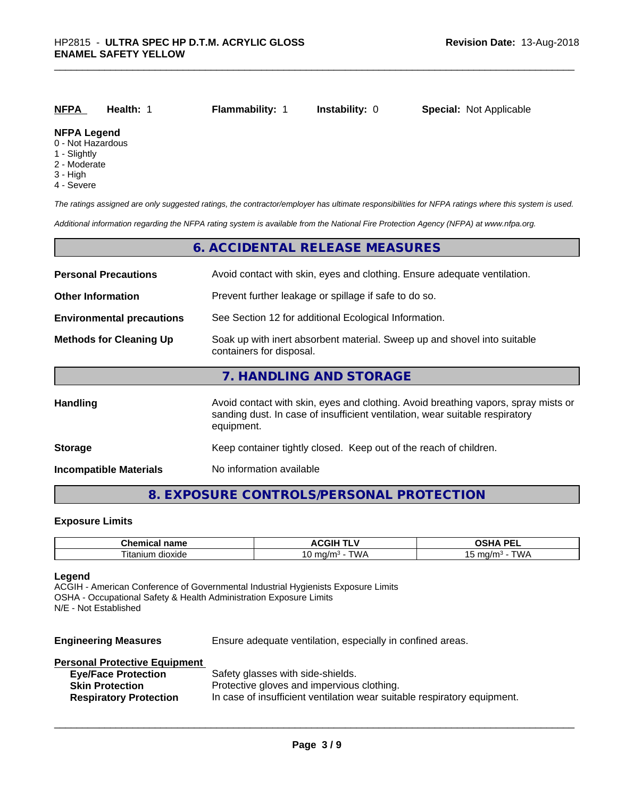| NFPA                                    | Health: | <b>Flammability:</b> 1 | <b>Instability: 0</b> | <b>Special: Not Applicable</b> |
|-----------------------------------------|---------|------------------------|-----------------------|--------------------------------|
| <b>NFPA Legend</b><br>0 - Not Hazardous |         |                        |                       |                                |

- 1 Slightly
- 2 Moderate
- 
- 3 High
- 4 Severe

*The ratings assigned are only suggested ratings, the contractor/employer has ultimate responsibilities for NFPA ratings where this system is used.*

*Additional information regarding the NFPA rating system is available from the National Fire Protection Agency (NFPA) at www.nfpa.org.*

|                                  | 6. ACCIDENTAL RELEASE MEASURES                                                                                                                                                   |
|----------------------------------|----------------------------------------------------------------------------------------------------------------------------------------------------------------------------------|
| <b>Personal Precautions</b>      | Avoid contact with skin, eyes and clothing. Ensure adequate ventilation.                                                                                                         |
| <b>Other Information</b>         | Prevent further leakage or spillage if safe to do so.                                                                                                                            |
| <b>Environmental precautions</b> | See Section 12 for additional Ecological Information.                                                                                                                            |
| <b>Methods for Cleaning Up</b>   | Soak up with inert absorbent material. Sweep up and shovel into suitable<br>containers for disposal.                                                                             |
|                                  | 7. HANDLING AND STORAGE                                                                                                                                                          |
| Handling                         | Avoid contact with skin, eyes and clothing. Avoid breathing vapors, spray mists or<br>sanding dust. In case of insufficient ventilation, wear suitable respiratory<br>equipment. |
| <b>Storage</b>                   | Keep container tightly closed. Keep out of the reach of children.                                                                                                                |
| <b>Incompatible Materials</b>    | No information available                                                                                                                                                         |

# **8. EXPOSURE CONTROLS/PERSONAL PROTECTION**

#### **Exposure Limits**

| Chemical name            | <b>ACGIH T'</b>                   | <b>DE</b><br>n<br>$\blacksquare$<br>-- |
|--------------------------|-----------------------------------|----------------------------------------|
| --<br>dioxide<br>ıtanıum | "WA<br>$m \alpha/m$<br>، اسا<br>v | T111<br>malm.<br>ונטו<br>.             |

#### **Legend**

ACGIH - American Conference of Governmental Industrial Hygienists Exposure Limits OSHA - Occupational Safety & Health Administration Exposure Limits N/E - Not Established

| <b>Engineering Measures</b> | Ensure adequate ventilation, especially in confined areas. |
|-----------------------------|------------------------------------------------------------|
|-----------------------------|------------------------------------------------------------|

| <b>Personal Protective Equipment</b> |                                                                          |
|--------------------------------------|--------------------------------------------------------------------------|
| <b>Eye/Face Protection</b>           | Safety glasses with side-shields.                                        |
| <b>Skin Protection</b>               | Protective gloves and impervious clothing.                               |
| <b>Respiratory Protection</b>        | In case of insufficient ventilation wear suitable respiratory equipment. |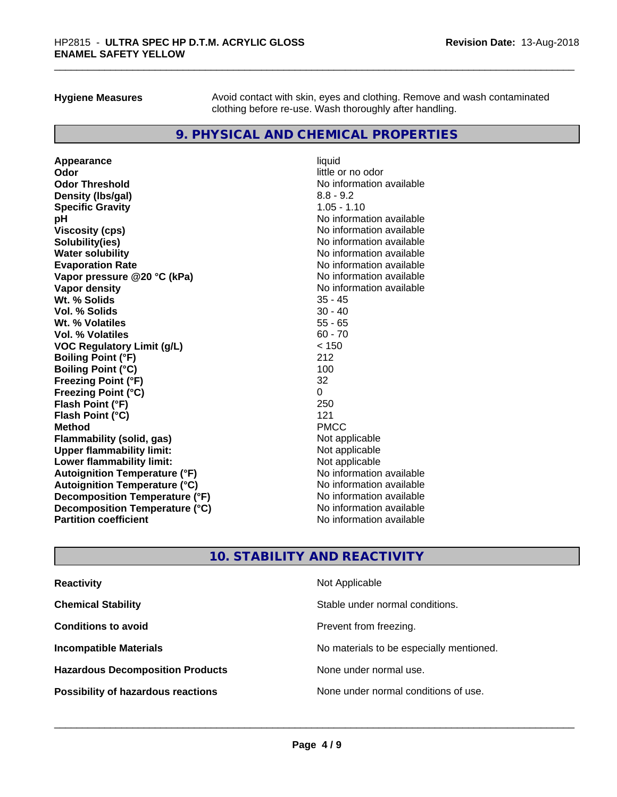**Hygiene Measures** Avoid contact with skin, eyes and clothing. Remove and wash contaminated clothing before re-use. Wash thoroughly after handling.

# **9. PHYSICAL AND CHEMICAL PROPERTIES**

**Appearance** liquid **Odor** little or no odor **Odor Threshold**<br> **Density (Ibs/gal)**<br> **Density (Ibs/gal)**<br>
2.8 - 9.2 **Density (lbs/gal)** 8.8 - 9.2<br> **Specific Gravity** 8.8 - 1.10 **Specific Gravity pH**<br>
Viscosity (cps) The Contract of the Contract of the Viscosity (cps) and Viscosity (cps) **Solubility(ies)** No information available **Water solubility Mater Solubility**<br> **Evaporation Rate** Mate No information available **Vapor pressure @20 °C (kPa)** No information available **Vapor density**<br> **We Solids**<br>
We Solid Wit, % Solids
25 - 45 **Wt. % Solids Vol. % Solids** 30 - 40 **Wt. % Volatiles** 55 - 65 **Vol. % Volatiles** 60 - 70 **VOC Regulatory Limit (g/L)** < 150 **Boiling Point (°F)** 212 **Boiling Point (°C)** 100 **Freezing Point (°F)** 32 **Freezing Point (°C)** 0 **Flash Point (°F)** 250 **Flash Point (°C)** 121<br> **Method** PMCC **Method** PMCC **Flammability (solid, gas)** Not applicable **Upper flammability limit:**<br> **Lower flammability limit:**<br>
Not applicable<br>
Not applicable **Lower flammability limit: Autoignition Temperature (°F)** No information available **Autoignition Temperature (°C)** No information available **Decomposition Temperature (°F)** No information available **Decomposition Temperature (°C)**<br> **Partition coefficient**<br> **Partition coefficient**<br> **No** information available

**Viscosity (cps)** No information available **Evaporation Rate** No information available **No information available** 

# **10. STABILITY AND REACTIVITY**

| <b>Reactivity</b>                         | Not Applicable                           |
|-------------------------------------------|------------------------------------------|
| <b>Chemical Stability</b>                 | Stable under normal conditions.          |
| <b>Conditions to avoid</b>                | Prevent from freezing.                   |
| <b>Incompatible Materials</b>             | No materials to be especially mentioned. |
| <b>Hazardous Decomposition Products</b>   | None under normal use.                   |
| <b>Possibility of hazardous reactions</b> | None under normal conditions of use.     |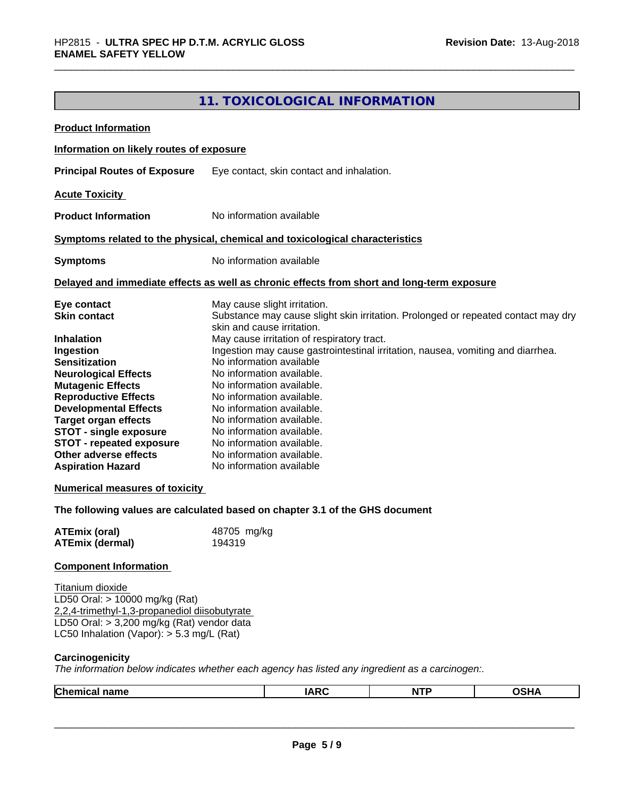# **11. TOXICOLOGICAL INFORMATION**

| <b>Product Information</b>                                                                                                                                                                                                                                                                                                                                                                                              |                                                                                                                                                                                                                                                                                                                                                                                                                                                                                                                                                                                  |             |            |             |  |
|-------------------------------------------------------------------------------------------------------------------------------------------------------------------------------------------------------------------------------------------------------------------------------------------------------------------------------------------------------------------------------------------------------------------------|----------------------------------------------------------------------------------------------------------------------------------------------------------------------------------------------------------------------------------------------------------------------------------------------------------------------------------------------------------------------------------------------------------------------------------------------------------------------------------------------------------------------------------------------------------------------------------|-------------|------------|-------------|--|
| Information on likely routes of exposure                                                                                                                                                                                                                                                                                                                                                                                |                                                                                                                                                                                                                                                                                                                                                                                                                                                                                                                                                                                  |             |            |             |  |
| <b>Principal Routes of Exposure</b>                                                                                                                                                                                                                                                                                                                                                                                     | Eye contact, skin contact and inhalation.                                                                                                                                                                                                                                                                                                                                                                                                                                                                                                                                        |             |            |             |  |
| <b>Acute Toxicity</b>                                                                                                                                                                                                                                                                                                                                                                                                   |                                                                                                                                                                                                                                                                                                                                                                                                                                                                                                                                                                                  |             |            |             |  |
| <b>Product Information</b>                                                                                                                                                                                                                                                                                                                                                                                              | No information available                                                                                                                                                                                                                                                                                                                                                                                                                                                                                                                                                         |             |            |             |  |
| Symptoms related to the physical, chemical and toxicological characteristics                                                                                                                                                                                                                                                                                                                                            |                                                                                                                                                                                                                                                                                                                                                                                                                                                                                                                                                                                  |             |            |             |  |
| <b>Symptoms</b>                                                                                                                                                                                                                                                                                                                                                                                                         | No information available                                                                                                                                                                                                                                                                                                                                                                                                                                                                                                                                                         |             |            |             |  |
| Delayed and immediate effects as well as chronic effects from short and long-term exposure                                                                                                                                                                                                                                                                                                                              |                                                                                                                                                                                                                                                                                                                                                                                                                                                                                                                                                                                  |             |            |             |  |
| Eye contact<br><b>Skin contact</b><br><b>Inhalation</b><br>Ingestion<br><b>Sensitization</b><br><b>Neurological Effects</b><br><b>Mutagenic Effects</b><br><b>Reproductive Effects</b><br><b>Developmental Effects</b><br><b>Target organ effects</b><br><b>STOT - single exposure</b><br><b>STOT - repeated exposure</b><br>Other adverse effects<br><b>Aspiration Hazard</b><br><b>Numerical measures of toxicity</b> | May cause slight irritation.<br>Substance may cause slight skin irritation. Prolonged or repeated contact may dry<br>skin and cause irritation.<br>May cause irritation of respiratory tract.<br>Ingestion may cause gastrointestinal irritation, nausea, vomiting and diarrhea.<br>No information available<br>No information available.<br>No information available.<br>No information available.<br>No information available.<br>No information available.<br>No information available.<br>No information available.<br>No information available.<br>No information available |             |            |             |  |
| The following values are calculated based on chapter 3.1 of the GHS document<br><b>ATEmix (oral)</b>                                                                                                                                                                                                                                                                                                                    | 48705 mg/kg                                                                                                                                                                                                                                                                                                                                                                                                                                                                                                                                                                      |             |            |             |  |
| <b>ATEmix (dermal)</b>                                                                                                                                                                                                                                                                                                                                                                                                  | 194319                                                                                                                                                                                                                                                                                                                                                                                                                                                                                                                                                                           |             |            |             |  |
| <b>Component Information</b>                                                                                                                                                                                                                                                                                                                                                                                            |                                                                                                                                                                                                                                                                                                                                                                                                                                                                                                                                                                                  |             |            |             |  |
| Titanium dioxide<br>LD50 Oral: > 10000 mg/kg (Rat)<br>2,2,4-trimethyl-1,3-propanediol diisobutyrate<br>LD50 Oral: > 3,200 mg/kg (Rat) vendor data<br>LC50 Inhalation (Vapor): $> 5.3$ mg/L (Rat)<br>Carcinogenicity<br>The information below indicates whether each agency has listed any ingredient as a carcinogen:.                                                                                                  |                                                                                                                                                                                                                                                                                                                                                                                                                                                                                                                                                                                  |             |            |             |  |
| <b>Chemical name</b>                                                                                                                                                                                                                                                                                                                                                                                                    |                                                                                                                                                                                                                                                                                                                                                                                                                                                                                                                                                                                  | <b>IARC</b> | <b>NTP</b> | <b>OSHA</b> |  |
|                                                                                                                                                                                                                                                                                                                                                                                                                         |                                                                                                                                                                                                                                                                                                                                                                                                                                                                                                                                                                                  |             |            |             |  |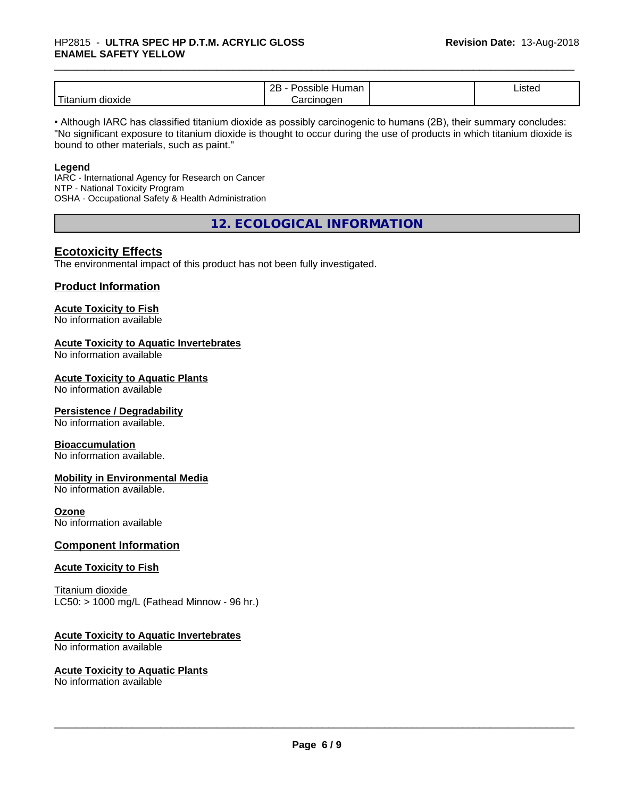|                               | <br>ם מ<br>ssible<br>⊣umar<br>--                   | Listed |
|-------------------------------|----------------------------------------------------|--------|
| .<br><br>dioxide<br>1 Itanium | <b>Prcinc</b><br>ıoaen<br>$\overline{\phantom{a}}$ |        |

• Although IARC has classified titanium dioxide as possibly carcinogenic to humans (2B), their summary concludes: "No significant exposure to titanium dioxide is thought to occur during the use of products in which titanium dioxide is bound to other materials, such as paint."

#### **Legend**

IARC - International Agency for Research on Cancer NTP - National Toxicity Program OSHA - Occupational Safety & Health Administration

**12. ECOLOGICAL INFORMATION**

### **Ecotoxicity Effects**

The environmental impact of this product has not been fully investigated.

#### **Product Information**

#### **Acute Toxicity to Fish**

No information available

#### **Acute Toxicity to Aquatic Invertebrates**

No information available

#### **Acute Toxicity to Aquatic Plants**

No information available

#### **Persistence / Degradability**

No information available.

#### **Bioaccumulation**

No information available.

#### **Mobility in Environmental Media**

No information available.

#### **Ozone**

No information available

#### **Component Information**

#### **Acute Toxicity to Fish**

Titanium dioxide  $LC50:$  > 1000 mg/L (Fathead Minnow - 96 hr.)

#### **Acute Toxicity to Aquatic Invertebrates**

No information available

#### **Acute Toxicity to Aquatic Plants**

No information available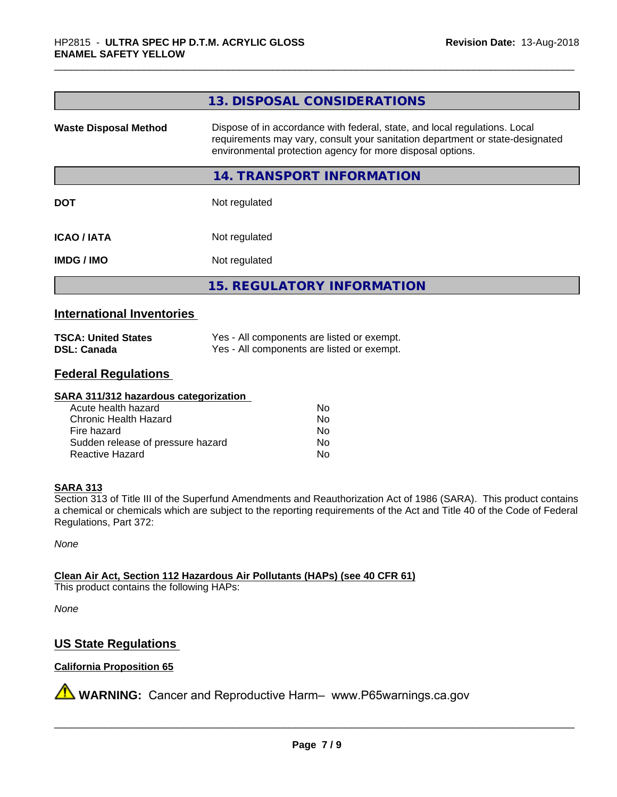|                              | 13. DISPOSAL CONSIDERATIONS                                                                                                                                                                                               |
|------------------------------|---------------------------------------------------------------------------------------------------------------------------------------------------------------------------------------------------------------------------|
| <b>Waste Disposal Method</b> | Dispose of in accordance with federal, state, and local regulations. Local<br>requirements may vary, consult your sanitation department or state-designated<br>environmental protection agency for more disposal options. |
|                              | <b>14. TRANSPORT INFORMATION</b>                                                                                                                                                                                          |
| <b>DOT</b>                   | Not regulated                                                                                                                                                                                                             |
| <b>ICAO/IATA</b>             | Not regulated                                                                                                                                                                                                             |
| <b>IMDG/IMO</b>              | Not regulated                                                                                                                                                                                                             |
|                              | <b>15. REGULATORY INFORMATION</b>                                                                                                                                                                                         |

### **International Inventories**

| <b>TSCA: United States</b> | Yes - All components are listed or exempt. |
|----------------------------|--------------------------------------------|
| <b>DSL: Canada</b>         | Yes - All components are listed or exempt. |

#### **Federal Regulations**

#### **SARA 311/312 hazardous categorization**

| Acute health hazard               | Nο |
|-----------------------------------|----|
| Chronic Health Hazard             | Nο |
| Fire hazard                       | Nο |
| Sudden release of pressure hazard | Nο |
| Reactive Hazard                   | Nο |

#### **SARA 313**

Section 313 of Title III of the Superfund Amendments and Reauthorization Act of 1986 (SARA). This product contains a chemical or chemicals which are subject to the reporting requirements of the Act and Title 40 of the Code of Federal Regulations, Part 372:

*None*

**Clean Air Act,Section 112 Hazardous Air Pollutants (HAPs) (see 40 CFR 61)**

This product contains the following HAPs:

*None*

# **US State Regulations**

#### **California Proposition 65**

**A** WARNING: Cancer and Reproductive Harm– www.P65warnings.ca.gov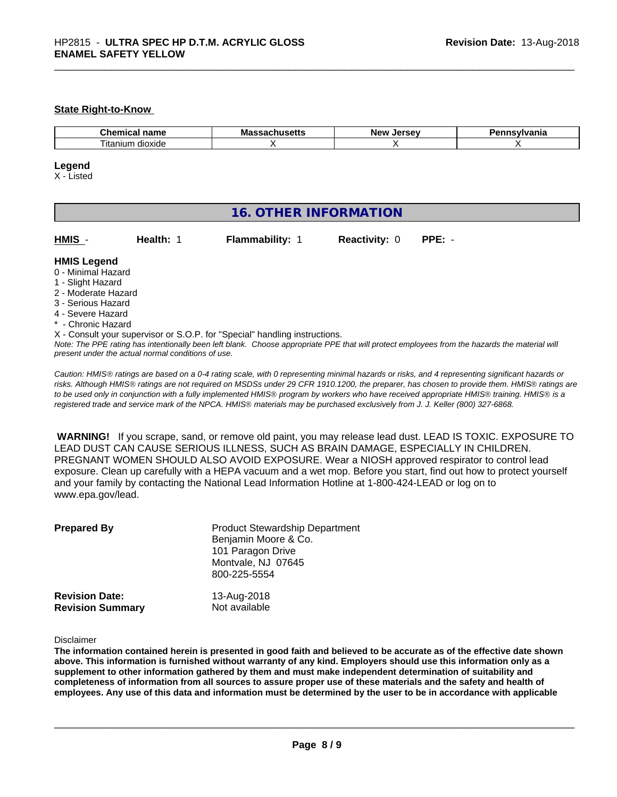#### **State Right-to-Know**

| $-$<br>Chemical<br>$ -$<br>name   | wa<br> | <b>AFCAU</b><br>Ne\<br><br>$-1$ | . |
|-----------------------------------|--------|---------------------------------|---|
| --<br>dioxide<br><br>ıtanı<br>ur. |        |                                 |   |

#### **Legend**

X - Listed

| <b>16. OTHER INFORMATION</b>                                                                                                                                                                                |           |                                                                            |                      |                                                                                                                                               |  |
|-------------------------------------------------------------------------------------------------------------------------------------------------------------------------------------------------------------|-----------|----------------------------------------------------------------------------|----------------------|-----------------------------------------------------------------------------------------------------------------------------------------------|--|
| HMIS -                                                                                                                                                                                                      | Health: 1 | <b>Flammability: 1</b>                                                     | <b>Reactivity: 0</b> | $PPE: -$                                                                                                                                      |  |
| <b>HMIS Legend</b><br>0 - Minimal Hazard<br>1 - Slight Hazard<br>2 - Moderate Hazard<br>3 - Serious Hazard<br>4 - Severe Hazard<br>* - Chronic Hazard<br>present under the actual normal conditions of use. |           | X - Consult your supervisor or S.O.P. for "Special" handling instructions. |                      | Note: The PPE rating has intentionally been left blank. Choose appropriate PPE that will protect employees from the hazards the material will |  |

*Caution: HMISÒ ratings are based on a 0-4 rating scale, with 0 representing minimal hazards or risks, and 4 representing significant hazards or risks. Although HMISÒ ratings are not required on MSDSs under 29 CFR 1910.1200, the preparer, has chosen to provide them. HMISÒ ratings are to be used only in conjunction with a fully implemented HMISÒ program by workers who have received appropriate HMISÒ training. HMISÒ is a registered trade and service mark of the NPCA. HMISÒ materials may be purchased exclusively from J. J. Keller (800) 327-6868.*

 **WARNING!** If you scrape, sand, or remove old paint, you may release lead dust. LEAD IS TOXIC. EXPOSURE TO LEAD DUST CAN CAUSE SERIOUS ILLNESS, SUCH AS BRAIN DAMAGE, ESPECIALLY IN CHILDREN. PREGNANT WOMEN SHOULD ALSO AVOID EXPOSURE.Wear a NIOSH approved respirator to control lead exposure. Clean up carefully with a HEPA vacuum and a wet mop. Before you start, find out how to protect yourself and your family by contacting the National Lead Information Hotline at 1-800-424-LEAD or log on to www.epa.gov/lead.

| <b>Prepared By</b>      | <b>Product Stewardship Department</b><br>Benjamin Moore & Co.<br>101 Paragon Drive<br>Montvale, NJ 07645<br>800-225-5554 |
|-------------------------|--------------------------------------------------------------------------------------------------------------------------|
| <b>Revision Date:</b>   | 13-Aug-2018                                                                                                              |
| <b>Revision Summary</b> | Not available                                                                                                            |

#### Disclaimer

The information contained herein is presented in good faith and believed to be accurate as of the effective date shown above. This information is furnished without warranty of any kind. Employers should use this information only as a **supplement to other information gathered by them and must make independent determination of suitability and** completeness of information from all sources to assure proper use of these materials and the safety and health of employees. Any use of this data and information must be determined by the user to be in accordance with applicable